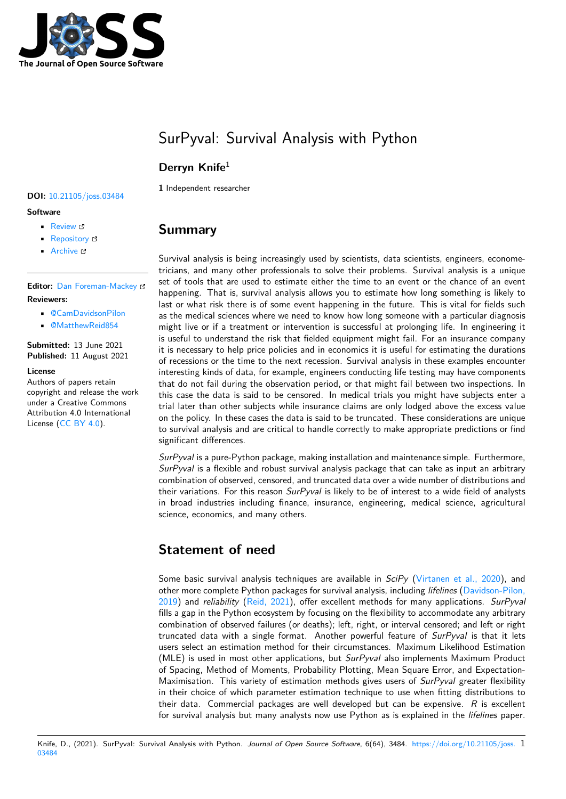

# SurPyval: Survival Analysis with Python

### **Derryn Knife**<sup>1</sup>

**DOI:** 10.21105/joss.03484

#### **Software**

- Review C
- [Repository](https://doi.org/10.21105/joss.03484) &
- Archive &

#### **Editor:** [Dan Fore](https://github.com/derrynknife/SurPyval)man-Mackey **Revie[wers:](https://doi.org/10.5281/zenodo.5177222)**

- @CamDavidsonPilon
- @[MatthewReid854](https://dfm.io)

#### **Submitted:** 13 June 2021 **Published:** [11 August 2021](https://github.com/CamDavidsonPilon)

#### **License**

Autho[rs of papers retain](https://github.com/MatthewReid854) copyright and release the work under a Creative Commons Attribution 4.0 International License (CC BY 4.0).

# **1** Independent researcher

### **Summary**

Survival analysis is being increasingly used by scientists, data scientists, engineers, econometricians, and many other professionals to solve their problems. Survival analysis is a unique set of tools that are used to estimate either the time to an event or the chance of an event happening. That is, survival analysis allows you to estimate how long something is likely to last or what risk there is of some event happening in the future. This is vital for fields such as the medical sciences where we need to know how long someone with a particular diagnosis might live or if a treatment or intervention is successful at prolonging life. In engineering it is useful to understand the risk that fielded equipment might fail. For an insurance company it is necessary to help price policies and in economics it is useful for estimating the durations of recessions or the time to the next recession. Survival analysis in these examples encounter interesting kinds of data, for example, engineers conducting life testing may have components that do not fail during the observation period, or that might fail between two inspections. In this case the data is said to be censored. In medical trials you might have subjects enter a trial later than other subjects while insurance claims are only lodged above the excess value on the policy. In these cases the data is said to be truncated. These considerations are unique to survival analysis and are critical to handle correctly to make appropriate predictions or find significant differences.

*SurPyval* is a pure-Python package, making installation and maintenance simple. Furthermore, *SurPyval* is a flexible and robust survival analysis package that can take as input an arbitrary combination of observed, censored, and truncated data over a wide number of distributions and their variations. For this reason *SurPyval* is likely to be of interest to a wide field of analysts in broad industries including finance, insurance, engineering, medical science, agricultural science, economics, and many others.

# **Statement of need**

Some basic survival analysis techniques are available in *SciPy* (Virtanen et al., 2020), and other more complete Python packages for survival analysis, including *lifelines* (Davidson-Pilon, 2019) and *reliability* (Reid, 2021), offer excellent methods for many applications. *SurPyval* fills a gap in the Python ecosystem by focusing on the flexibility to accommodate any arbitrary combination of observed failures (or deaths); left, right, or interv[al censored; and left or](#page-5-0) right truncated data with a single format. Another powerful feature of *SurPyval* [is that it lets](#page-4-0) [users](#page-4-0) select an estima[tion method](#page-4-1) for their circumstances. Maximum Likelihood Estimation (MLE) is used in most other applications, but *SurPyval* also implements Maximum Product of Spacing, Method of Moments, Probability Plotting, Mean Square Error, and Expectation-Maximisation. This variety of estimation methods gives users of *SurPyval* greater flexibility in their choice of which parameter estimation technique to use when fitting distributions to their data. Commercial packages are well developed but can be expensive. *R* is excellent for survival analysis but many analysts now use Python as is explained in the *lifelines* paper.

Knife, D., (2021). SurPyval: Survival Analysis with Python. Journal of Open Source Software, 6(64), 3484. https://doi.org/10.21105/joss. 1 03484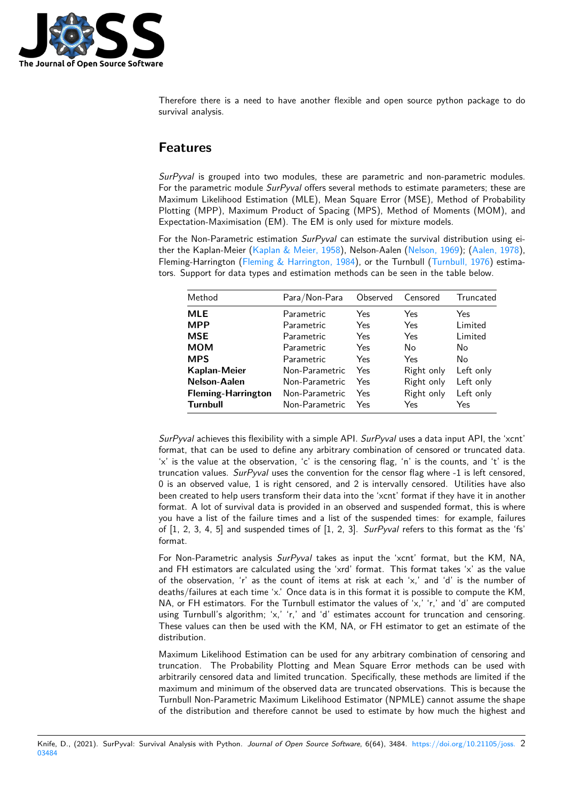

Therefore there is a need to have another flexible and open source python package to do survival analysis.

### **Features**

*SurPyval* is grouped into two modules, these are parametric and non-parametric modules. For the parametric module *SurPyval* offers several methods to estimate parameters; these are Maximum Likelihood Estimation (MLE), Mean Square Error (MSE), Method of Probability Plotting (MPP), Maximum Product of Spacing (MPS), Method of Moments (MOM), and Expectation-Maximisation (EM). The EM is only used for mixture models.

For the Non-Parametric estimation *SurPyval* can estimate the survival distribution using either the Kaplan-Meier (Kaplan & Meier, 1958), Nelson-Aalen (Nelson, 1969); (Aalen, 1978), Fleming-Harrington (Fleming & Harrington, 1984), or the Turnbull (Turnbull, 1976) estimators. Support for data types and estimation methods can be seen in the table below.

| Method                    | Para/Non-Para  | Observed | Censored   | Truncated |
|---------------------------|----------------|----------|------------|-----------|
| <b>MLE</b>                | Parametric     | Yes      | Yes        | Yes       |
| <b>MPP</b>                | Parametric     | Yes      | Yes        | Limited   |
| <b>MSE</b>                | Parametric     | Yes      | Yes        | Limited   |
| <b>MOM</b>                | Parametric     | Yes      | No         | No        |
| <b>MPS</b>                | Parametric     | Yes      | Yes        | No        |
| Kaplan-Meier              | Non-Parametric | Yes      | Right only | Left only |
| Nelson-Aalen              | Non-Parametric | Yes      | Right only | Left only |
| <b>Fleming-Harrington</b> | Non-Parametric | Yes      | Right only | Left only |
| <b>Turnbull</b>           | Non-Parametric | Yes      | Yes        | Yes       |

*SurPyval* achieves this flexibility with a simple API. *SurPyval* uses a data input API, the 'xcnt' format, that can be used to define any arbitrary combination of censored or truncated data. 'x' is the value at the observation, 'c' is the censoring flag, 'n' is the counts, and 't' is the truncation values. *SurPyval* uses the convention for the censor flag where -1 is left censored, 0 is an observed value, 1 is right censored, and 2 is intervally censored. Utilities have also been created to help users transform their data into the 'xcnt' format if they have it in another format. A lot of survival data is provided in an observed and suspended format, this is where you have a list of the failure times and a list of the suspended times: for example, failures of [1, 2, 3, 4, 5] and suspended times of [1, 2, 3]. *SurPyval* refers to this format as the 'fs' format.

For Non-Parametric analysis *SurPyval* takes as input the 'xcnt' format, but the KM, NA, and FH estimators are calculated using the 'xrd' format. This format takes 'x' as the value of the observation, 'r' as the count of items at risk at each 'x,' and 'd' is the number of deaths/failures at each time 'x.' Once data is in this format it is possible to compute the KM, NA, or FH estimators. For the Turnbull estimator the values of 'x,' 'r,' and 'd' are computed using Turnbull's algorithm; 'x,' 'r,' and 'd' estimates account for truncation and censoring. These values can then be used with the KM, NA, or FH estimator to get an estimate of the distribution.

Maximum Likelihood Estimation can be used for any arbitrary combination of censoring and truncation. The Probability Plotting and Mean Square Error methods can be used with arbitrarily censored data and limited truncation. Specifically, these methods are limited if the maximum and minimum of the observed data are truncated observations. This is because the Turnbull Non-Parametric Maximum Likelihood Estimator (NPMLE) cannot assume the shape of the distribution and therefore cannot be used to estimate by how much the highest and

Knife, D., (2021). SurPyval: Survival Analysis with Python. Journal of Open Source Software, 6(64), 3484. https://doi.org/10.21105/joss. 2 03484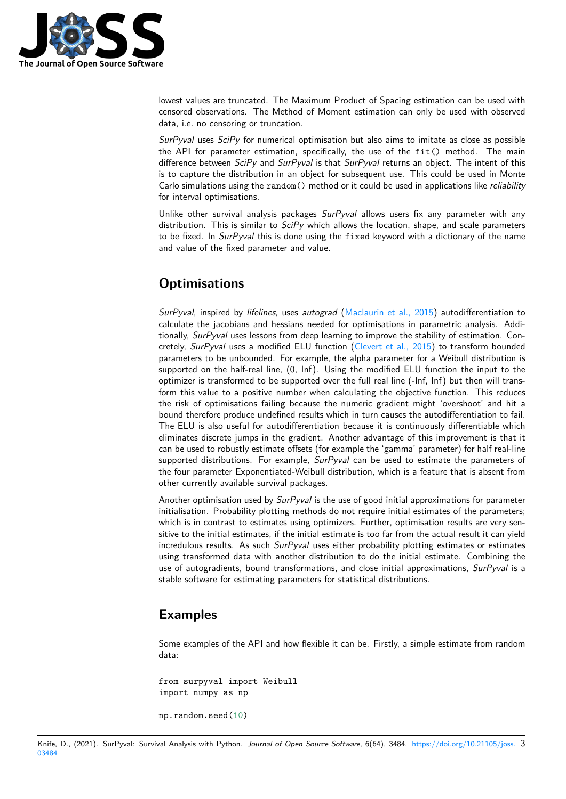

lowest values are truncated. The Maximum Product of Spacing estimation can be used with censored observations. The Method of Moment estimation can only be used with observed data, i.e. no censoring or truncation.

*SurPyval* uses *SciPy* for numerical optimisation but also aims to imitate as close as possible the API for parameter estimation, specifically, the use of the fit() method. The main difference between *SciPy* and *SurPyval* is that *SurPyval* returns an object. The intent of this is to capture the distribution in an object for subsequent use. This could be used in Monte Carlo simulations using the random() method or it could be used in applications like *reliability* for interval optimisations.

Unlike other survival analysis packages *SurPyval* allows users fix any parameter with any distribution. This is similar to *SciPy* which allows the location, shape, and scale parameters to be fixed. In *SurPyval* this is done using the fixed keyword with a dictionary of the name and value of the fixed parameter and value.

## **Optimisations**

*SurPyval*, inspired by *lifelines*, uses *autograd* (Maclaurin et al., 2015) autodifferentiation to calculate the jacobians and hessians needed for optimisations in parametric analysis. Additionally, *SurPyval* uses lessons from deep learning to improve the stability of estimation. Concretely, *SurPyval* uses a modified ELU function (Clevert et al., 2015) to transform bounded parameters to be unbounded. For example, th[e alpha parameter for a](#page-4-7) Weibull distribution is supported on the half-real line, (0, Inf). Using the modified ELU function the input to the optimizer is transformed to be supported over the full real line (-Inf, Inf) but then will transform this value to a positive number when calcu[lating the objective](#page-4-8) function. This reduces the risk of optimisations failing because the numeric gradient might 'overshoot' and hit a bound therefore produce undefined results which in turn causes the autodifferentiation to fail. The ELU is also useful for autodifferentiation because it is continuously differentiable which eliminates discrete jumps in the gradient. Another advantage of this improvement is that it can be used to robustly estimate offsets (for example the 'gamma' parameter) for half real-line supported distributions. For example, *SurPyval* can be used to estimate the parameters of the four parameter Exponentiated-Weibull distribution, which is a feature that is absent from other currently available survival packages.

Another optimisation used by *SurPyval* is the use of good initial approximations for parameter initialisation. Probability plotting methods do not require initial estimates of the parameters; which is in contrast to estimates using optimizers. Further, optimisation results are very sensitive to the initial estimates, if the initial estimate is too far from the actual result it can yield incredulous results. As such *SurPyval* uses either probability plotting estimates or estimates using transformed data with another distribution to do the initial estimate. Combining the use of autogradients, bound transformations, and close initial approximations, *SurPyval* is a stable software for estimating parameters for statistical distributions.

### **Examples**

Some examples of the API and how flexible it can be. Firstly, a simple estimate from random data:

from surpyval import Weibull import numpy as np

np.random.seed(10)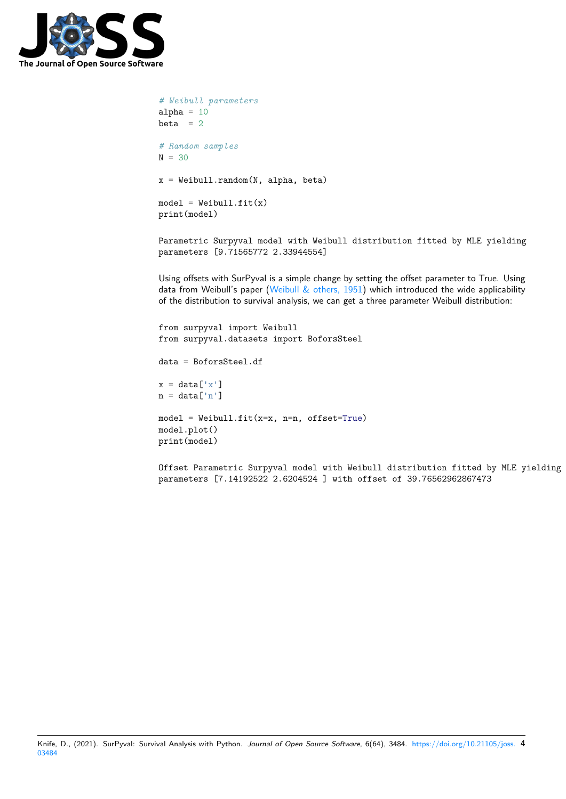

```
# Weibull parameters
alpha = 10beta = 2# Random samples
N = 30x = Weibull.random(N, alpha, beta)
model = Weibull.fit(x)print(model)
```
Parametric Surpyval model with Weibull distribution fitted by MLE yielding parameters [9.71565772 2.33944554]

Using offsets with SurPyval is a simple change by setting the offset parameter to True. Using data from Weibull's paper (Weibull  $\&$  others, 1951) which introduced the wide applicability of the distribution to survival analysis, we can get a three parameter Weibull distribution:

```
from surpyval import Weibull
from surpyval.datasets import BoforsSteel
data = BoforsSteel.df
x = data['x']n = data['n']model = Weibull.fit(x=x, n=n, offset=True)model.plot()
print(model)
```
Offset Parametric Surpyval model with Weibull distribution fitted by MLE yielding parameters [7.14192522 2.6204524 ] with offset of 39.76562962867473

```
Knife, D., (2021). SurPyval: Survival Analysis with Python. Journal of Open Source Software, 6(64), 3484. https://doi.org/10.21105/joss. 4
03484
```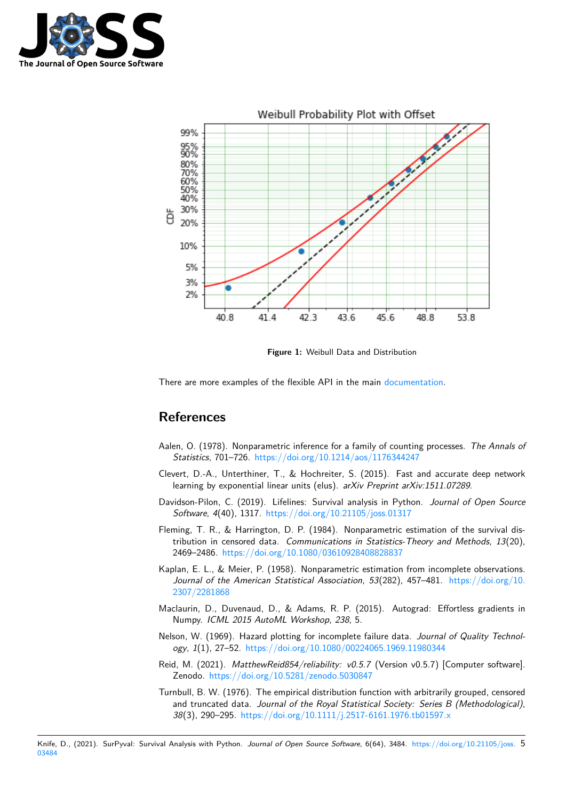



**Figure 1:** Weibull Data and Distribution

There are more examples of the flexible API in the main documentation.

#### **References**

- Aalen, O. (1978). Nonparametric inference for a family of counting processes. *The Annals of Statistics*, 701–726. https://doi.org/10.1214/aos/1176344247
- <span id="page-4-4"></span>Clevert, D.-A., Unterthiner, T., & Hochreiter, S. (2015). Fast and accurate deep network learning by exponential linear units (elus). *arXiv Preprint arXiv:1511.07289*.
- Davidson-Pilon, C. (20[19\). Lifelines: Survival analysis in Python](https://doi.org/10.1214/aos/1176344247). *Journal of Open Source Software*, *4*(40), 1317. https://doi.org/10.21105/joss.01317
- <span id="page-4-8"></span>Fleming, T. R., & Harrington, D. P. (1984). Nonparametric estimation of the survival distribution in censored data. *Communications in Statistics-Theory and Methods*, *13*(20), 2469–2486. https://do[i.org/10.1080/03610928408828837](https://doi.org/10.21105/joss.01317)
- <span id="page-4-5"></span><span id="page-4-0"></span>Kaplan, E. L., & Meier, P. (1958). Nonparametric estimation from incomplete observations. *Journal of the American Statistical Association*, *53*(282), 457–481. https://doi.org/10. 2307/2281868
- Maclaurin, D., [Duvenaud, D., & Adams, R. P. \(2015\). Au](https://doi.org/10.1080/03610928408828837)tograd: Effortless gradients in Numpy. *ICML 2015 AutoML Workshop*, *238*, 5.
- <span id="page-4-2"></span>Nel[son, W. \(1969\)](https://doi.org/10.2307/2281868). Hazard plotting for incomplete failure data. *Journal [of Quality Technol](https://doi.org/10.2307/2281868)ogy*, *1*(1), 27–52. https://doi.org/10.1080/00224065.1969.11980344
- <span id="page-4-7"></span>Reid, M. (2021). *MatthewReid854/reliability: v0.5.7* (Version v0.5.7) [Computer software]. Zenodo. https://doi.org/10.5281/zenodo.5030847
- <span id="page-4-6"></span><span id="page-4-3"></span><span id="page-4-1"></span>Turnbull, B. W. (197[6\). The empirical distribution function with arbitraril](https://doi.org/10.1080/00224065.1969.11980344)y grouped, censored and truncated data. *Journal of the Royal Statistical Society: Series B (Methodological)*, *38*(3), 290–295. [https://doi.org/10.1111/j.2517-6](https://doi.org/10.5281/zenodo.5030847)161.1976.tb01597.x